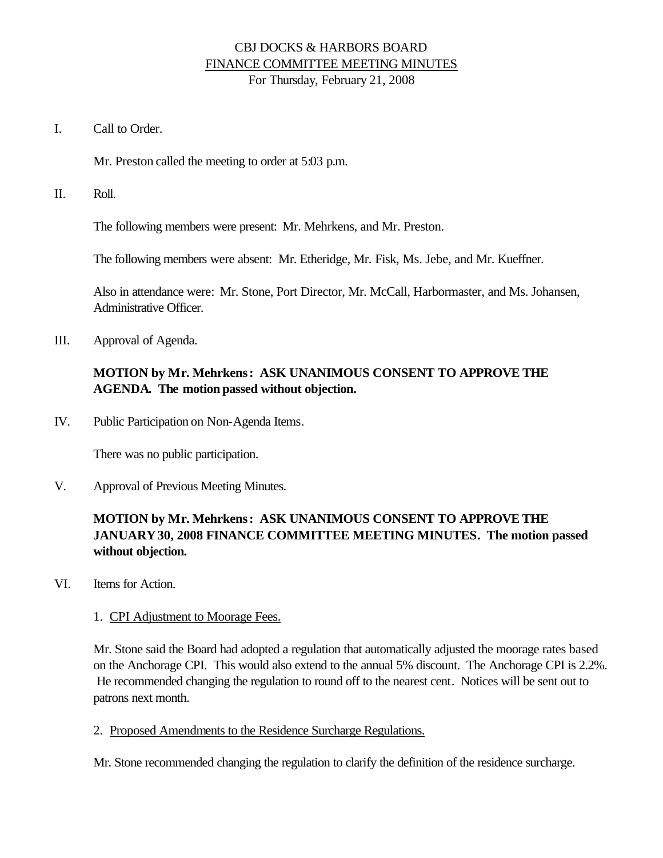#### CBJ DOCKS & HARBORS BOARD FINANCE COMMITTEE MEETING MINUTES For Thursday, February 21, 2008

I. Call to Order.

Mr. Preston called the meeting to order at 5:03 p.m.

II. Roll.

The following members were present: Mr. Mehrkens, and Mr. Preston.

The following members were absent: Mr. Etheridge, Mr. Fisk, Ms. Jebe, and Mr. Kueffner.

Also in attendance were: Mr. Stone, Port Director, Mr. McCall, Harbormaster, and Ms. Johansen, Administrative Officer.

III. Approval of Agenda.

### **MOTION by Mr. Mehrkens: ASK UNANIMOUS CONSENT TO APPROVE THE AGENDA. The motion passed without objection.**

IV. Public Participation on Non-Agenda Items.

There was no public participation.

V. Approval of Previous Meeting Minutes.

# **MOTION by Mr. Mehrkens: ASK UNANIMOUS CONSENT TO APPROVE THE JANUARY30, 2008 FINANCE COMMITTEE MEETING MINUTES. The motion passed without objection.**

VI. Items for Action.

#### 1. CPI Adjustment to Moorage Fees.

Mr. Stone said the Board had adopted a regulation that automatically adjusted the moorage rates based on the Anchorage CPI. This would also extend to the annual 5% discount. The Anchorage CPI is 2.2%. He recommended changing the regulation to round off to the nearest cent. Notices will be sent out to patrons next month.

2. Proposed Amendments to the Residence Surcharge Regulations.

Mr. Stone recommended changing the regulation to clarify the definition of the residence surcharge.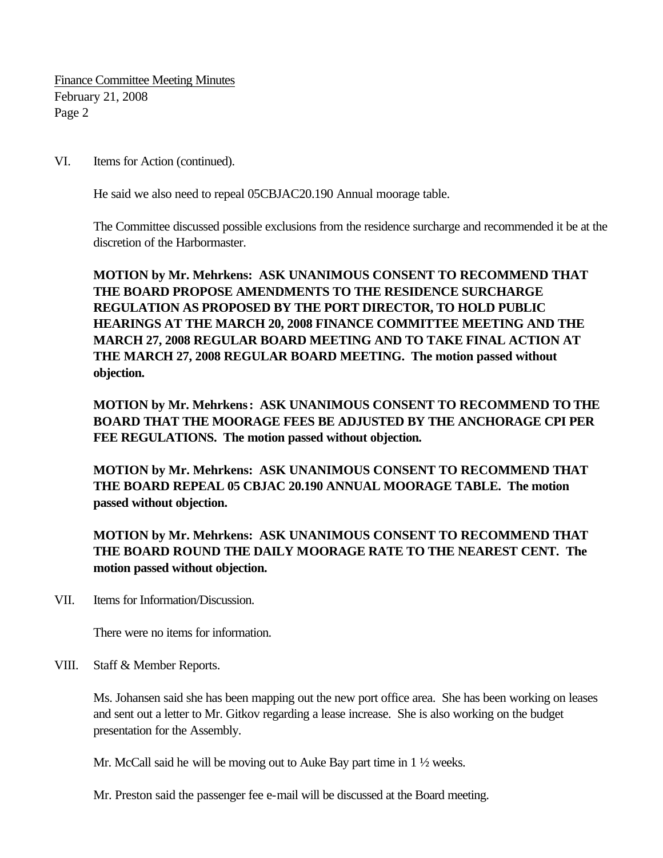Finance Committee Meeting Minutes February 21, 2008 Page 2

VI. Items for Action (continued).

He said we also need to repeal 05CBJAC20.190 Annual moorage table.

The Committee discussed possible exclusions from the residence surcharge and recommended it be at the discretion of the Harbormaster.

**MOTION by Mr. Mehrkens: ASK UNANIMOUS CONSENT TO RECOMMEND THAT THE BOARD PROPOSE AMENDMENTS TO THE RESIDENCE SURCHARGE REGULATION AS PROPOSED BY THE PORT DIRECTOR, TO HOLD PUBLIC HEARINGS AT THE MARCH 20, 2008 FINANCE COMMITTEE MEETING AND THE MARCH 27, 2008 REGULAR BOARD MEETING AND TO TAKE FINAL ACTION AT THE MARCH 27, 2008 REGULAR BOARD MEETING. The motion passed without objection.**

**MOTION by Mr. Mehrkens: ASK UNANIMOUS CONSENT TO RECOMMEND TO THE BOARD THAT THE MOORAGE FEES BE ADJUSTED BY THE ANCHORAGE CPI PER FEE REGULATIONS. The motion passed without objection.**

**MOTION by Mr. Mehrkens: ASK UNANIMOUS CONSENT TO RECOMMEND THAT THE BOARD REPEAL 05 CBJAC 20.190 ANNUAL MOORAGE TABLE. The motion passed without objection.**

**MOTION by Mr. Mehrkens: ASK UNANIMOUS CONSENT TO RECOMMEND THAT THE BOARD ROUND THE DAILY MOORAGE RATE TO THE NEAREST CENT. The motion passed without objection.**

VII. Items for Information/Discussion.

There were no items for information.

VIII. Staff & Member Reports.

Ms. Johansen said she has been mapping out the new port office area. She has been working on leases and sent out a letter to Mr. Gitkov regarding a lease increase. She is also working on the budget presentation for the Assembly.

Mr. McCall said he will be moving out to Auke Bay part time in 1  $\frac{1}{2}$  weeks.

Mr. Preston said the passenger fee e-mail will be discussed at the Board meeting.